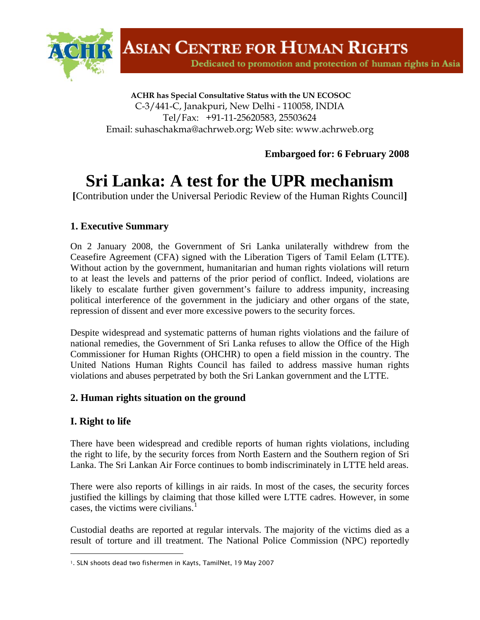

Dedicated to promotion and protection of human rights in Asia

 **ACHR has Special Consultative Status with the UN ECOSOC** C-3/441-C, Janakpuri, New Delhi - 110058, INDIA Tel/Fax: +91-11-25620583, 25503624 Email: suhaschakma@achrweb.org; Web site: www.achrweb.org

**Embargoed for: 6 February 2008** 

# **Sri Lanka: A test for the UPR mechanism**

**[**Contribution under the Universal Periodic Review of the Human Rights Council**]**

# **1. Executive Summary**

On 2 January 2008, the Government of Sri Lanka unilaterally withdrew from the Ceasefire Agreement (CFA) signed with the Liberation Tigers of Tamil Eelam (LTTE). Without action by the government, humanitarian and human rights violations will return to at least the levels and patterns of the prior period of conflict. Indeed, violations are likely to escalate further given government's failure to address impunity, increasing political interference of the government in the judiciary and other organs of the state, repression of dissent and ever more excessive powers to the security forces.

Despite widespread and systematic patterns of human rights violations and the failure of national remedies, the Government of Sri Lanka refuses to allow the Office of the High Commissioner for Human Rights (OHCHR) to open a field mission in the country. The United Nations Human Rights Council has failed to address massive human rights violations and abuses perpetrated by both the Sri Lankan government and the LTTE.

# **2. Human rights situation on the ground**

# **I. Right to life**

l

There have been widespread and credible reports of human rights violations, including the right to life, by the security forces from North Eastern and the Southern region of Sri Lanka. The Sri Lankan Air Force continues to bomb indiscriminately in LTTE held areas.

There were also reports of killings in air raids. In most of the cases, the security forces justified the killings by claiming that those killed were LTTE cadres. However, in some cases, the victims were civilians. $<sup>1</sup>$  $<sup>1</sup>$  $<sup>1</sup>$ </sup>

Custodial deaths are reported at regular intervals. The majority of the victims died as a result of torture and ill treatment. The National Police Commission (NPC) reportedly

<span id="page-0-0"></span><sup>1.</sup> SLN shoots dead two fishermen in Kayts, TamilNet, 19 May 2007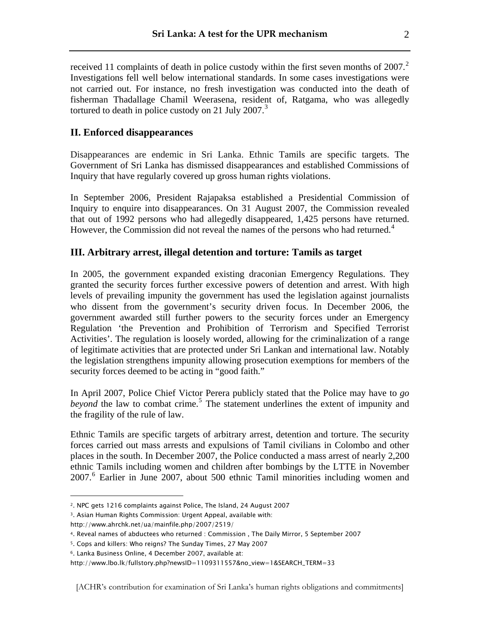received 11 complaints of death in police custody within the first seven months of  $2007$  $2007$ .<sup>2</sup> Investigations fell well below international standards. In some cases investigations were not carried out. For instance, no fresh investigation was conducted into the death of fisherman Thadallage Chamil Weerasena, resident of, Ratgama, who was allegedly tortured to death in police custody on 21 July 2007. $3$ 

# **II. Enforced disappearances**

Disappearances are endemic in Sri Lanka. Ethnic Tamils are specific targets. The Government of Sri Lanka has dismissed disappearances and established Commissions of Inquiry that have regularly covered up gross human rights violations.

In September 2006, President Rajapaksa established a Presidential Commission of Inquiry to enquire into disappearances. On 31 August 2007, the Commission revealed that out of 1992 persons who had allegedly disappeared, 1,425 persons have returned. However, the Commission did not reveal the names of the persons who had returned.<sup>[4](#page-1-2)</sup>

# **III. Arbitrary arrest, illegal detention and torture: Tamils as target**

In 2005, the government expanded existing draconian Emergency Regulations. They granted the security forces further excessive powers of detention and arrest. With high levels of prevailing impunity the government has used the legislation against journalists who dissent from the government's security driven focus. In December 2006, the government awarded still further powers to the security forces under an Emergency Regulation 'the Prevention and Prohibition of Terrorism and Specified Terrorist Activities'. The regulation is loosely worded, allowing for the criminalization of a range of legitimate activities that are protected under Sri Lankan and international law. Notably the legislation strengthens impunity allowing prosecution exemptions for members of the security forces deemed to be acting in "good faith."

In April 2007, Police Chief Victor Perera publicly stated that the Police may have to *go*  beyond the law to combat crime.<sup>[5](#page-1-3)</sup> The statement underlines the extent of impunity and the fragility of the rule of law.

Ethnic Tamils are specific targets of arbitrary arrest, detention and torture. The security forces carried out mass arrests and expulsions of Tamil civilians in Colombo and other places in the south. In December 2007, the Police conducted a mass arrest of nearly 2,200 ethnic Tamils including women and children after bombings by the LTTE in November 2007.[6](#page-1-4) Earlier in June 2007, about 500 ethnic Tamil minorities including women and

l

<span id="page-1-0"></span><sup>2.</sup> NPC gets 1216 complaints against Police, The Island, 24 August 2007

<span id="page-1-1"></span><sup>3.</sup> Asian Human Rights Commission: Urgent Appeal, available with:

http://www.ahrchk.net/ua/mainfile.php/2007/2519/

<span id="page-1-2"></span><sup>4.</sup> Reveal names of abductees who returned : Commission , The Daily Mirror, 5 September 2007

<span id="page-1-3"></span><sup>5.</sup> Cops and killers: Who reigns? The Sunday Times, 27 May 2007

<span id="page-1-4"></span><sup>6.</sup> Lanka Business Online, 4 December 2007, available at:

http://www.lbo.lk/fullstory.php?newsID=1109311557&no\_view=1&SEARCH\_TERM=33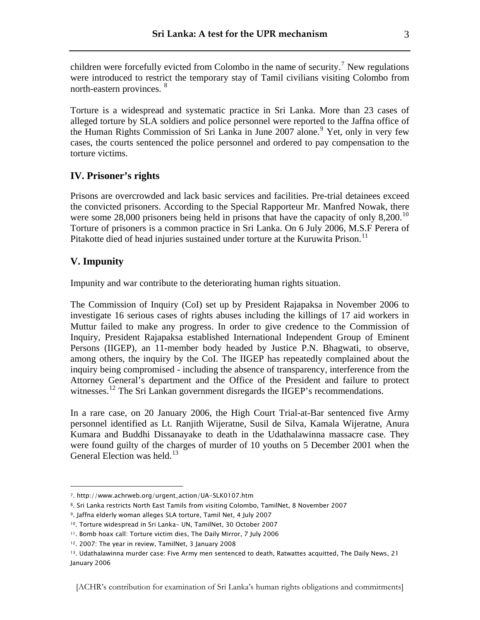children were forcefully evicted from Colombo in the name of security.<sup>[7](#page-2-0)</sup> New regulations were introduced to restrict the temporary stay of Tamil civilians visiting Colombo from north-eastern provinces. <sup>[8](#page-2-1)</sup>

Torture is a widespread and systematic practice in Sri Lanka. More than 23 cases of alleged torture by SLA soldiers and police personnel were reported to the Jaffna office of the Human Rights Commission of Sri Lanka in June 2007 alone.<sup>[9](#page-2-2)</sup> Yet, only in very few cases, the courts sentenced the police personnel and ordered to pay compensation to the torture victims.

### **IV. Prisoner's rights**

Prisons are overcrowded and lack basic services and facilities. Pre-trial detainees exceed the convicted prisoners. According to the Special Rapporteur Mr. Manfred Nowak, there were some  $28,000$  prisoners being held in prisons that have the capacity of only  $8,200$ .<sup>[10](#page-2-3)</sup> Torture of prisoners is a common practice in Sri Lanka. On 6 July 2006, M.S.F Perera of Pitakotte died of head injuries sustained under torture at the Kuruwita Prison.<sup>[11](#page-2-4)</sup>

# **V. Impunity**

l

Impunity and war contribute to the deteriorating human rights situation.

The Commission of Inquiry (CoI) set up by President Rajapaksa in November 2006 to investigate 16 serious cases of rights abuses including the killings of 17 aid workers in Muttur failed to make any progress. In order to give credence to the Commission of Inquiry, President Rajapaksa established International Independent Group of Eminent Persons (IIGEP), an 11-member body headed by Justice P.N. Bhagwati, to observe, among others, the inquiry by the CoI. The IIGEP has repeatedly complained about the inquiry being compromised - including the absence of transparency, interference from the Attorney General's department and the Office of the President and failure to protect witnesses.<sup>[12](#page-2-5)</sup> The Sri Lankan government disregards the IIGEP's recommendations.

In a rare case, on 20 January 2006, the High Court Trial-at-Bar sentenced five Army personnel identified as Lt. Ranjith Wijeratne, Susil de Silva, Kamala Wijeratne, Anura Kumara and Buddhi Dissanayake to death in the Udathalawinna massacre case. They were found guilty of the charges of murder of 10 youths on 5 December 2001 when the General Election was held.<sup>[13](#page-2-6)</sup>

[ACHR's contribution for examination of Sri Lanka's human rights obligations and commitments]

<span id="page-2-0"></span><sup>7.</sup> http://www.achrweb.org/urgent\_action/UA-SLK0107.htm

<span id="page-2-1"></span><sup>8.</sup> Sri Lanka restricts North East Tamils from visiting Colombo, TamilNet, 8 November 2007

<span id="page-2-2"></span><sup>9.</sup> Jaffna elderly woman alleges SLA torture, Tamil Net, 4 July 2007

<span id="page-2-3"></span><sup>10.</sup> Torture widespread in Sri Lanka- UN, TamilNet, 30 October 2007

<span id="page-2-4"></span><sup>11.</sup> Bomb hoax call: Torture victim dies, The Daily Mirror, 7 July 2006

<sup>12. 2007:</sup> The year in review, TamilNet, 3 January 2008

<span id="page-2-6"></span><span id="page-2-5"></span><sup>13.</sup> Udathalawinna murder case: Five Army men sentenced to death, Ratwattes acquitted, The Daily News, 21 January 2006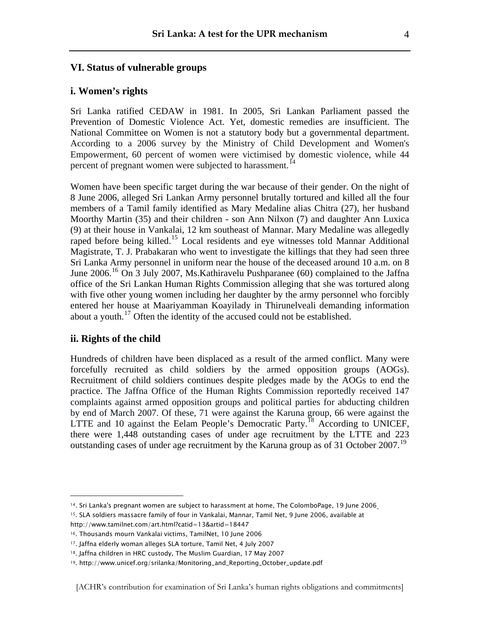#### **VI. Status of vulnerable groups**

#### **i. Women's rights**

Sri Lanka ratified CEDAW in 1981. In 2005, Sri Lankan Parliament passed the Prevention of Domestic Violence Act. Yet, domestic remedies are insufficient. The National Committee on Women is not a statutory body but a governmental department. According to a 2006 survey by the Ministry of Child Development and Women's Empowerment, 60 percent of women were victimised by domestic violence, while 44 percent of pregnant women were subjected to harassment.<sup>[14](#page-3-0)</sup>

Women have been specific target during the war because of their gender. On the night of 8 June 2006, alleged Sri Lankan Army personnel brutally tortured and killed all the four members of a Tamil family identified as Mary Medaline alias Chitra (27), her husband Moorthy Martin (35) and their children - son Ann Nilxon (7) and daughter Ann Luxica (9) at their house in Vankalai, 12 km southeast of Mannar. Mary Medaline was allegedly raped before being killed.[15](#page-3-1) Local residents and eye witnesses told Mannar Additional Magistrate, T. J. Prabakaran who went to investigate the killings that they had seen three Sri Lanka Army personnel in uniform near the house of the deceased around 10 a.m. on 8 June 2006.[16](#page-3-2) On 3 July 2007, Ms.Kathiravelu Pushparanee (60) complained to the Jaffna office of the Sri Lankan Human Rights Commission alleging that she was tortured along with five other young women including her daughter by the army personnel who forcibly entered her house at Maariyamman Koayilady in Thirunelveali demanding information about a youth. [17](#page-3-3) Often the identity of the accused could not be established.

#### **ii. Rights of the child**

l

Hundreds of children have been displaced as a result of the armed conflict. Many were forcefully recruited as child soldiers by the armed opposition groups (AOGs). Recruitment of child soldiers continues despite pledges made by the AOGs to end the practice. The Jaffna Office of the Human Rights Commission reportedly received 147 complaints against armed opposition groups and political parties for abducting children by end of March 2007. Of these, 71 were against the Karuna group, 66 were against the LTTE and 10 against the Eelam People's Democratic Party.<sup>[18](#page-3-4)</sup> According to UNICEF, there were 1,448 outstanding cases of under age recruitment by the LTTE and 223 outstanding cases of under age recruitment by the Karuna group as of 31 October 2007.<sup>[19](#page-3-5)</sup>

<span id="page-3-1"></span><span id="page-3-0"></span><sup>14.</sup> Sri Lanka's pregnant women are subject to harassment at home, The ColomboPage, 19 June 2006 15. SLA soldiers massacre family of four in Vankalai, Mannar, Tamil Net, 9 June 2006, available at

http://www.tamilnet.com/art.html?catid=13&artid=18447

<span id="page-3-2"></span><sup>16.</sup> Thousands mourn Vankalai victims, TamilNet, 10 June 2006

<span id="page-3-3"></span><sup>17.</sup> Jaffna elderly woman alleges SLA torture, Tamil Net, 4 July 2007

<span id="page-3-4"></span><sup>18.</sup> Jaffna children in HRC custody, The Muslim Guardian, 17 May 2007

<span id="page-3-5"></span><sup>19.</sup> http://www.unicef.org/srilanka/Monitoring\_and\_Reporting\_October\_update.pdf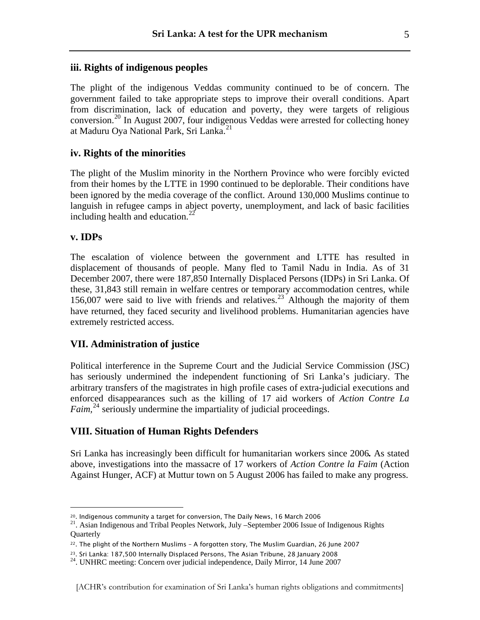#### **iii. Rights of indigenous peoples**

The plight of the indigenous Veddas community continued to be of concern. The government failed to take appropriate steps to improve their overall conditions. Apart from discrimination, lack of education and poverty, they were targets of religious conversion.[20](#page-4-0) In August 2007, four indigenous Veddas were arrested for collecting honey at Maduru Oya National Park, Sri Lanka.<sup>[21](#page-4-1)</sup>

#### **iv. Rights of the minorities**

The plight of the Muslim minority in the Northern Province who were forcibly evicted from their homes by the LTTE in 1990 continued to be deplorable. Their conditions have been ignored by the media coverage of the conflict. Around 130,000 Muslims continue to languish in refugee camps in abject poverty, unemployment, and lack of basic facilities including health and education. $^{22}$  $^{22}$  $^{22}$ 

#### **v. IDPs**

l

The escalation of violence between the government and LTTE has resulted in displacement of thousands of people. Many fled to Tamil Nadu in India. As of 31 December 2007, there were 187,850 Internally Displaced Persons (IDPs) in Sri Lanka. Of these, 31,843 still remain in welfare centres or temporary accommodation centres, while 156,007 were said to live with friends and relatives.<sup>[23](#page-4-3)</sup> Although the majority of them have returned, they faced security and livelihood problems. Humanitarian agencies have extremely restricted access.

#### **VII. Administration of justice**

Political interference in the Supreme Court and the Judicial Service Commission (JSC) has seriously undermined the independent functioning of Sri Lanka's judiciary. The arbitrary transfers of the magistrates in high profile cases of extra-judicial executions and enforced disappearances such as the killing of 17 aid workers of *Action Contre La Faim*,<sup>[24](#page-4-4)</sup> seriously undermine the impartiality of judicial proceedings.

#### **VIII. Situation of Human Rights Defenders**

Sri Lanka has increasingly been difficult for humanitarian workers since 2006*.* As stated above, investigations into the massacre of 17 workers of *Action Contre la Faim* (Action Against Hunger, ACF) at Muttur town on 5 August 2006 has failed to make any progress.

<span id="page-4-1"></span><span id="page-4-0"></span><sup>&</sup>lt;sup>20</sup>. Indigenous community a target for conversion, The Daily News, 16 March 2006  $\frac{21}{1}$ . Asian Indigenous and Tribal Peoples Network, July –September 2006 Issue of Indigenous Rights **Quarterly** 

<span id="page-4-2"></span><sup>22.</sup> The plight of the Northern Muslims – A forgotten story, The Muslim Guardian, 26 June 2007

<span id="page-4-4"></span><span id="page-4-3"></span><sup>&</sup>lt;sup>23</sup>. Sri Lanka: 187,500 Internally Displaced Persons, The Asian Tribune, 28 January 2008<br><sup>24</sup>. UNHRC meeting: Concern over judicial independence, Daily Mirror, 14 June 2007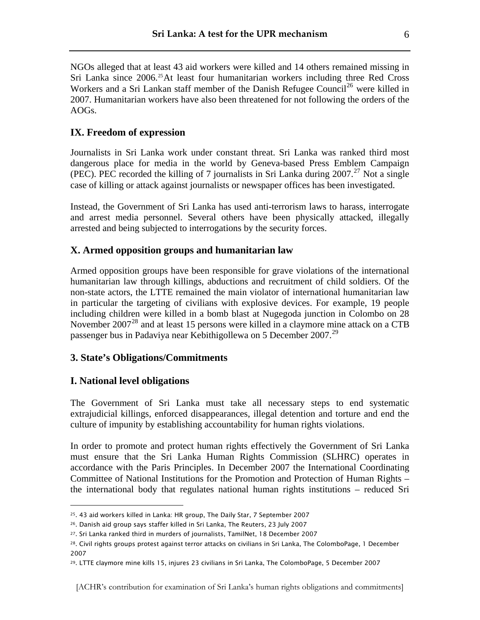NGOs alleged that at least 43 aid workers were killed and 14 others remained missing in Sri Lanka since 2006.<sup>[25](#page-5-0)</sup>At least four humanitarian workers including three Red Cross Workers and a Sri Lankan staff member of the Danish Refugee Council<sup>[26](#page-5-1)</sup> were killed in 2007. Humanitarian workers have also been threatened for not following the orders of the AOGs.

# **IX. Freedom of expression**

Journalists in Sri Lanka work under constant threat. Sri Lanka was ranked third most dangerous place for media in the world by Geneva-based Press Emblem Campaign (PEC). PEC recorded the killing of 7 journalists in Sri Lanka during  $2007$ .<sup>[27](#page-5-2)</sup> Not a single case of killing or attack against journalists or newspaper offices has been investigated.

Instead, the Government of Sri Lanka has used anti-terrorism laws to harass, interrogate and arrest media personnel. Several others have been physically attacked, illegally arrested and being subjected to interrogations by the security forces.

# **X. Armed opposition groups and humanitarian law**

Armed opposition groups have been responsible for grave violations of the international humanitarian law through killings, abductions and recruitment of child soldiers. Of the non-state actors, the LTTE remained the main violator of international humanitarian law in particular the targeting of civilians with explosive devices. For example, 19 people including children were killed in a bomb blast at Nugegoda junction in Colombo on 28 November 2007<sup>[28](#page-5-3)</sup> and at least 15 persons were killed in a claymore mine attack on a CTB passenger bus in Padaviya near Kebithigollewa on 5 December 2007.<sup>[29](#page-5-4)</sup>

# **3. State's Obligations/Commitments**

# **I. National level obligations**

l

The Government of Sri Lanka must take all necessary steps to end systematic extrajudicial killings, enforced disappearances, illegal detention and torture and end the culture of impunity by establishing accountability for human rights violations.

In order to promote and protect human rights effectively the Government of Sri Lanka must ensure that the Sri Lanka Human Rights Commission (SLHRC) operates in accordance with the Paris Principles. In December 2007 the International Coordinating Committee of National Institutions for the Promotion and Protection of Human Rights – the international body that regulates national human rights institutions – reduced Sri

<span id="page-5-0"></span><sup>25. 43</sup> aid workers killed in Lanka: HR group, The Daily Star, 7 September 2007

<span id="page-5-1"></span><sup>&</sup>lt;sup>26</sup>. Danish aid group says staffer killed in Sri Lanka, The Reuters, 23 July 2007

<span id="page-5-3"></span><span id="page-5-2"></span><sup>27.</sup> Sri Lanka ranked third in murders of journalists, TamilNet, 18 December 2007

<sup>28.</sup> Civil rights groups protest against terror attacks on civilians in Sri Lanka, The ColomboPage, 1 December 2007

<span id="page-5-4"></span><sup>29.</sup> LTTE claymore mine kills 15, injures 23 civilians in Sri Lanka, The ColomboPage, 5 December 2007